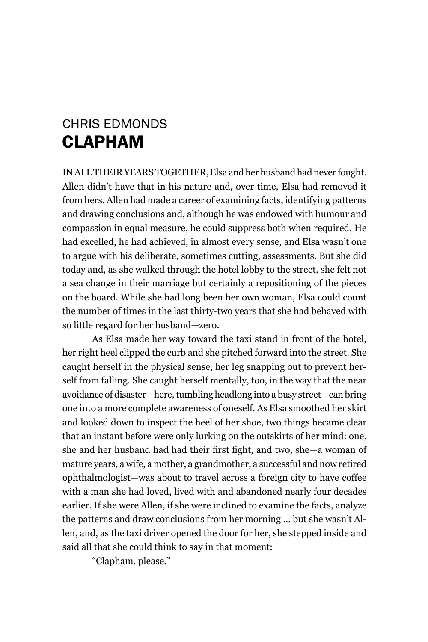## Chris Edmonds Clapham

IN ALL THEIR YEARS TOGETHER, Elsa and her husband had never fought. Allen didn't have that in his nature and, over time, Elsa had removed it from hers. Allen had made a career of examining facts, identifying patterns and drawing conclusions and, although he was endowed with humour and compassion in equal measure, he could suppress both when required. He had excelled, he had achieved, in almost every sense, and Elsa wasn't one to argue with his deliberate, sometimes cutting, assessments. But she did today and, as she walked through the hotel lobby to the street, she felt not a sea change in their marriage but certainly a repositioning of the pieces on the board. While she had long been her own woman, Elsa could count the number of times in the last thirty-two years that she had behaved with so little regard for her husband—zero.

As Elsa made her way toward the taxi stand in front of the hotel, her right heel clipped the curb and she pitched forward into the street. She caught herself in the physical sense, her leg snapping out to prevent herself from falling. She caught herself mentally, too, in the way that the near avoidance of disaster—here, tumbling headlong into a busy street—can bring one into a more complete awareness of oneself. As Elsa smoothed her skirt and looked down to inspect the heel of her shoe, two things became clear that an instant before were only lurking on the outskirts of her mind: one, she and her husband had had their first fight, and two, she—a woman of mature years, a wife, a mother, a grandmother, a successful and now retired ophthalmologist—was about to travel across a foreign city to have coffee with a man she had loved, lived with and abandoned nearly four decades earlier. If she were Allen, if she were inclined to examine the facts, analyze the patterns and draw conclusions from her morning … but she wasn't Allen, and, as the taxi driver opened the door for her, she stepped inside and said all that she could think to say in that moment:

"Clapham, please."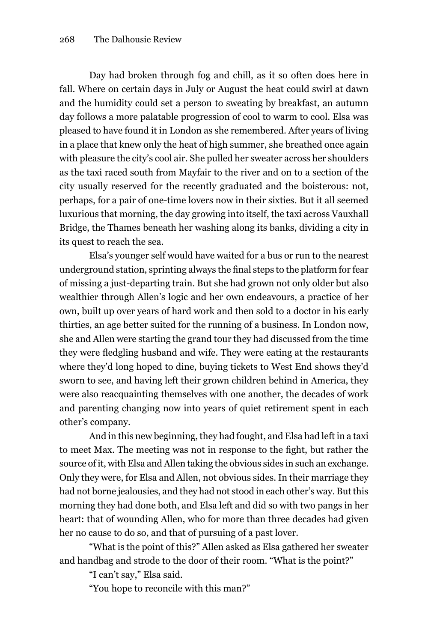Day had broken through fog and chill, as it so often does here in fall. Where on certain days in July or August the heat could swirl at dawn and the humidity could set a person to sweating by breakfast, an autumn day follows a more palatable progression of cool to warm to cool. Elsa was pleased to have found it in London as she remembered. After years of living in a place that knew only the heat of high summer, she breathed once again with pleasure the city's cool air. She pulled her sweater across her shoulders as the taxi raced south from Mayfair to the river and on to a section of the city usually reserved for the recently graduated and the boisterous: not, perhaps, for a pair of one-time lovers now in their sixties. But it all seemed luxurious that morning, the day growing into itself, the taxi across Vauxhall Bridge, the Thames beneath her washing along its banks, dividing a city in its quest to reach the sea.

Elsa's younger self would have waited for a bus or run to the nearest underground station, sprinting always the final steps to the platform for fear of missing a just-departing train. But she had grown not only older but also wealthier through Allen's logic and her own endeavours, a practice of her own, built up over years of hard work and then sold to a doctor in his early thirties, an age better suited for the running of a business. In London now, she and Allen were starting the grand tour they had discussed from the time they were fledgling husband and wife. They were eating at the restaurants where they'd long hoped to dine, buying tickets to West End shows they'd sworn to see, and having left their grown children behind in America, they were also reacquainting themselves with one another, the decades of work and parenting changing now into years of quiet retirement spent in each other's company.

And in this new beginning, they had fought, and Elsa had left in a taxi to meet Max. The meeting was not in response to the fight, but rather the source of it, with Elsa and Allen taking the obvious sides in such an exchange. Only they were, for Elsa and Allen, not obvious sides. In their marriage they had not borne jealousies, and they had not stood in each other's way. But this morning they had done both, and Elsa left and did so with two pangs in her heart: that of wounding Allen, who for more than three decades had given her no cause to do so, and that of pursuing of a past lover.

"What is the point of this?" Allen asked as Elsa gathered her sweater and handbag and strode to the door of their room. "What is the point?"

"I can't say," Elsa said.

"You hope to reconcile with this man?"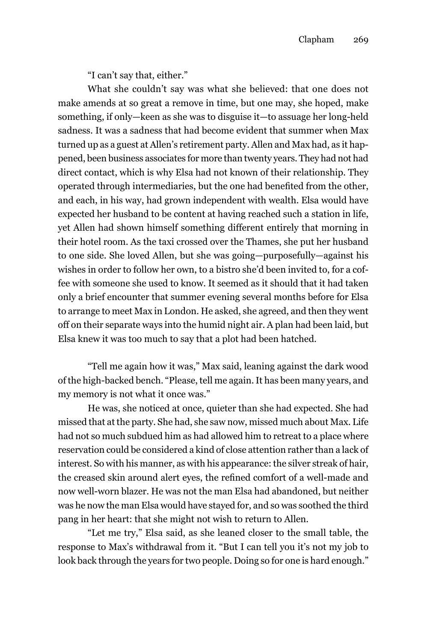"I can't say that, either."

What she couldn't say was what she believed: that one does not make amends at so great a remove in time, but one may, she hoped, make something, if only—keen as she was to disguise it—to assuage her long-held sadness. It was a sadness that had become evident that summer when Max turned up as a guest at Allen's retirement party. Allen and Max had, as it happened, been business associates for more than twenty years. They had not had direct contact, which is why Elsa had not known of their relationship. They operated through intermediaries, but the one had benefited from the other, and each, in his way, had grown independent with wealth. Elsa would have expected her husband to be content at having reached such a station in life, yet Allen had shown himself something different entirely that morning in their hotel room. As the taxi crossed over the Thames, she put her husband to one side. She loved Allen, but she was going—purposefully—against his wishes in order to follow her own, to a bistro she'd been invited to, for a coffee with someone she used to know. It seemed as it should that it had taken only a brief encounter that summer evening several months before for Elsa to arrange to meet Max in London. He asked, she agreed, and then they went off on their separate ways into the humid night air. A plan had been laid, but Elsa knew it was too much to say that a plot had been hatched.

"Tell me again how it was," Max said, leaning against the dark wood of the high-backed bench. "Please, tell me again. It has been many years, and my memory is not what it once was."

He was, she noticed at once, quieter than she had expected. She had missed that at the party. She had, she saw now, missed much about Max. Life had not so much subdued him as had allowed him to retreat to a place where reservation could be considered a kind of close attention rather than a lack of interest. So with his manner, as with his appearance: the silver streak of hair, the creased skin around alert eyes, the refined comfort of a well-made and now well-worn blazer. He was not the man Elsa had abandoned, but neither was he now the man Elsa would have stayed for, and so was soothed the third pang in her heart: that she might not wish to return to Allen.

"Let me try," Elsa said, as she leaned closer to the small table, the response to Max's withdrawal from it. "But I can tell you it's not my job to look back through the years for two people. Doing so for one is hard enough."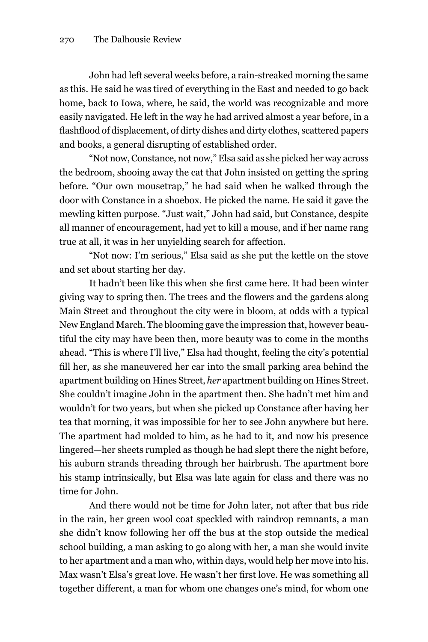John had left several weeks before, a rain-streaked morning the same as this. He said he was tired of everything in the East and needed to go back home, back to Iowa, where, he said, the world was recognizable and more easily navigated. He left in the way he had arrived almost a year before, in a flashflood of displacement, of dirty dishes and dirty clothes, scattered papers and books, a general disrupting of established order.

"Not now, Constance, not now," Elsa said as she picked her way across the bedroom, shooing away the cat that John insisted on getting the spring before. "Our own mousetrap," he had said when he walked through the door with Constance in a shoebox. He picked the name. He said it gave the mewling kitten purpose. "Just wait," John had said, but Constance, despite all manner of encouragement, had yet to kill a mouse, and if her name rang true at all, it was in her unyielding search for affection.

"Not now: I'm serious," Elsa said as she put the kettle on the stove and set about starting her day.

It hadn't been like this when she first came here. It had been winter giving way to spring then. The trees and the flowers and the gardens along Main Street and throughout the city were in bloom, at odds with a typical New England March. The blooming gave the impression that, however beautiful the city may have been then, more beauty was to come in the months ahead. "This is where I'll live," Elsa had thought, feeling the city's potential fill her, as she maneuvered her car into the small parking area behind the apartment building on Hines Street, *her* apartment building on Hines Street. She couldn't imagine John in the apartment then. She hadn't met him and wouldn't for two years, but when she picked up Constance after having her tea that morning, it was impossible for her to see John anywhere but here. The apartment had molded to him, as he had to it, and now his presence lingered—her sheets rumpled as though he had slept there the night before, his auburn strands threading through her hairbrush. The apartment bore his stamp intrinsically, but Elsa was late again for class and there was no time for John.

And there would not be time for John later, not after that bus ride in the rain, her green wool coat speckled with raindrop remnants, a man she didn't know following her off the bus at the stop outside the medical school building, a man asking to go along with her, a man she would invite to her apartment and a man who, within days, would help her move into his. Max wasn't Elsa's great love. He wasn't her first love. He was something all together different, a man for whom one changes one's mind, for whom one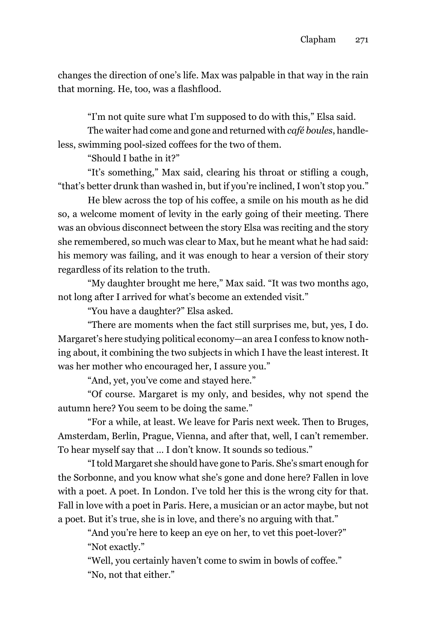changes the direction of one's life. Max was palpable in that way in the rain that morning. He, too, was a flashflood.

"I'm not quite sure what I'm supposed to do with this," Elsa said.

The waiter had come and gone and returned with *café boules*, handleless, swimming pool-sized coffees for the two of them.

"Should I bathe in it?"

"It's something," Max said, clearing his throat or stifling a cough, "that's better drunk than washed in, but if you're inclined, I won't stop you."

He blew across the top of his coffee, a smile on his mouth as he did so, a welcome moment of levity in the early going of their meeting. There was an obvious disconnect between the story Elsa was reciting and the story she remembered, so much was clear to Max, but he meant what he had said: his memory was failing, and it was enough to hear a version of their story regardless of its relation to the truth.

"My daughter brought me here," Max said. "It was two months ago, not long after I arrived for what's become an extended visit."

"You have a daughter?" Elsa asked.

"There are moments when the fact still surprises me, but, yes, I do. Margaret's here studying political economy—an area I confess to know nothing about, it combining the two subjects in which I have the least interest. It was her mother who encouraged her, I assure you."

"And, yet, you've come and stayed here."

"Of course. Margaret is my only, and besides, why not spend the autumn here? You seem to be doing the same."

"For a while, at least. We leave for Paris next week. Then to Bruges, Amsterdam, Berlin, Prague, Vienna, and after that, well, I can't remember. To hear myself say that … I don't know. It sounds so tedious."

"I told Margaret she should have gone to Paris. She's smart enough for the Sorbonne, and you know what she's gone and done here? Fallen in love with a poet. A poet. In London. I've told her this is the wrong city for that. Fall in love with a poet in Paris. Here, a musician or an actor maybe, but not a poet. But it's true, she is in love, and there's no arguing with that."

"And you're here to keep an eye on her, to vet this poet-lover?" "Not exactly."

"Well, you certainly haven't come to swim in bowls of coffee." "No, not that either."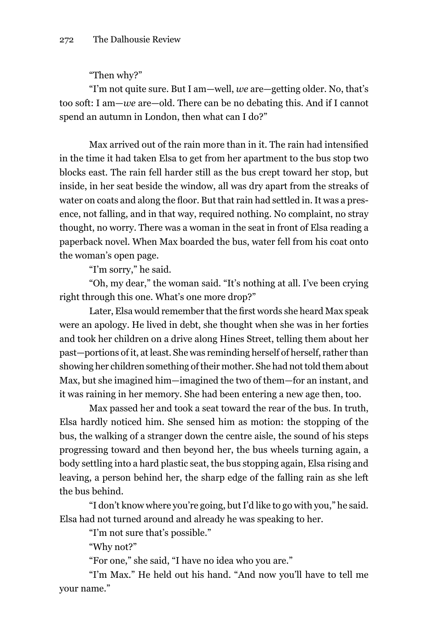"Then why?"

"I'm not quite sure. But I am—well, *we* are—getting older. No, that's too soft: I am—*we* are—old. There can be no debating this. And if I cannot spend an autumn in London, then what can I do?"

Max arrived out of the rain more than in it. The rain had intensified in the time it had taken Elsa to get from her apartment to the bus stop two blocks east. The rain fell harder still as the bus crept toward her stop, but inside, in her seat beside the window, all was dry apart from the streaks of water on coats and along the floor. But that rain had settled in. It was a presence, not falling, and in that way, required nothing. No complaint, no stray thought, no worry. There was a woman in the seat in front of Elsa reading a paperback novel. When Max boarded the bus, water fell from his coat onto the woman's open page.

"I'm sorry," he said.

"Oh, my dear," the woman said. "It's nothing at all. I've been crying right through this one. What's one more drop?"

Later, Elsa would remember that the first words she heard Max speak were an apology. He lived in debt, she thought when she was in her forties and took her children on a drive along Hines Street, telling them about her past—portions of it, at least. She was reminding herself of herself, rather than showing her children something of their mother. She had not told them about Max, but she imagined him—imagined the two of them—for an instant, and it was raining in her memory. She had been entering a new age then, too.

Max passed her and took a seat toward the rear of the bus. In truth, Elsa hardly noticed him. She sensed him as motion: the stopping of the bus, the walking of a stranger down the centre aisle, the sound of his steps progressing toward and then beyond her, the bus wheels turning again, a body settling into a hard plastic seat, the bus stopping again, Elsa rising and leaving, a person behind her, the sharp edge of the falling rain as she left the bus behind.

"I don't know where you're going, but I'd like to go with you," he said. Elsa had not turned around and already he was speaking to her.

"I'm not sure that's possible."

"Why not?"

"For one," she said, "I have no idea who you are."

"I'm Max." He held out his hand. "And now you'll have to tell me your name."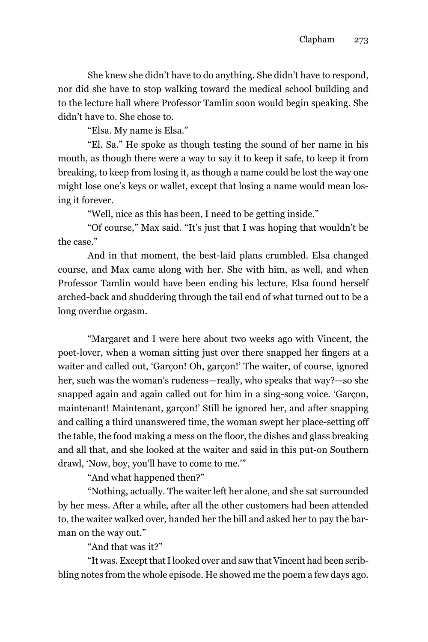She knew she didn't have to do anything. She didn't have to respond, nor did she have to stop walking toward the medical school building and to the lecture hall where Professor Tamlin soon would begin speaking. She didn't have to. She chose to.

"Elsa. My name is Elsa."

"El. Sa." He spoke as though testing the sound of her name in his mouth, as though there were a way to say it to keep it safe, to keep it from breaking, to keep from losing it, as though a name could be lost the way one might lose one's keys or wallet, except that losing a name would mean losing it forever.

"Well, nice as this has been, I need to be getting inside."

"Of course," Max said. "It's just that I was hoping that wouldn't be the case."

And in that moment, the best-laid plans crumbled. Elsa changed course, and Max came along with her. She with him, as well, and when Professor Tamlin would have been ending his lecture, Elsa found herself arched-back and shuddering through the tail end of what turned out to be a long overdue orgasm.

"Margaret and I were here about two weeks ago with Vincent, the poet-lover, when a woman sitting just over there snapped her fingers at a waiter and called out, 'Garçon! Oh, garçon!' The waiter, of course, ignored her, such was the woman's rudeness—really, who speaks that way?—so she snapped again and again called out for him in a sing-song voice. 'Garçon, maintenant! Maintenant, garçon!' Still he ignored her, and after snapping and calling a third unanswered time, the woman swept her place-setting off the table, the food making a mess on the floor, the dishes and glass breaking and all that, and she looked at the waiter and said in this put-on Southern drawl, 'Now, boy, you'll have to come to me.'"

"And what happened then?"

"Nothing, actually. The waiter left her alone, and she sat surrounded by her mess. After a while, after all the other customers had been attended to, the waiter walked over, handed her the bill and asked her to pay the barman on the way out."

"And that was it?"

"It was. Except that I looked over and saw that Vincent had been scribbling notes from the whole episode. He showed me the poem a few days ago.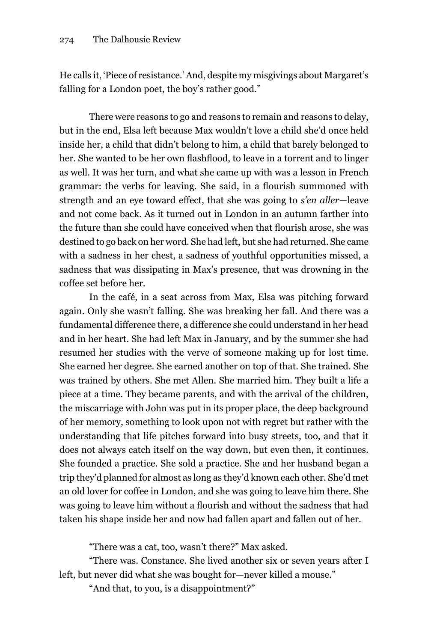He calls it, 'Piece of resistance.' And, despite my misgivings about Margaret's falling for a London poet, the boy's rather good."

There were reasons to go and reasons to remain and reasons to delay, but in the end, Elsa left because Max wouldn't love a child she'd once held inside her, a child that didn't belong to him, a child that barely belonged to her. She wanted to be her own flashflood, to leave in a torrent and to linger as well. It was her turn, and what she came up with was a lesson in French grammar: the verbs for leaving. She said, in a flourish summoned with strength and an eye toward effect, that she was going to *s'en aller*—leave and not come back. As it turned out in London in an autumn farther into the future than she could have conceived when that flourish arose, she was destined to go back on her word. She had left, but she had returned. She came with a sadness in her chest, a sadness of youthful opportunities missed, a sadness that was dissipating in Max's presence, that was drowning in the coffee set before her.

In the café, in a seat across from Max, Elsa was pitching forward again. Only she wasn't falling. She was breaking her fall. And there was a fundamental difference there, a difference she could understand in her head and in her heart. She had left Max in January, and by the summer she had resumed her studies with the verve of someone making up for lost time. She earned her degree. She earned another on top of that. She trained. She was trained by others. She met Allen. She married him. They built a life a piece at a time. They became parents, and with the arrival of the children, the miscarriage with John was put in its proper place, the deep background of her memory, something to look upon not with regret but rather with the understanding that life pitches forward into busy streets, too, and that it does not always catch itself on the way down, but even then, it continues. She founded a practice. She sold a practice. She and her husband began a trip they'd planned for almost as long as they'd known each other. She'd met an old lover for coffee in London, and she was going to leave him there. She was going to leave him without a flourish and without the sadness that had taken his shape inside her and now had fallen apart and fallen out of her.

"There was a cat, too, wasn't there?" Max asked.

"There was. Constance. She lived another six or seven years after I left, but never did what she was bought for—never killed a mouse."

"And that, to you, is a disappointment?"